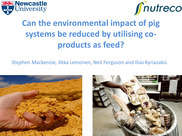



# **Can the environmental impact of pig systems be reduced by utilising coproducts as feed?**

Stephen Mackenzie, Ilkka Leinonen, Neil Ferguson and Ilias Kyriazakis



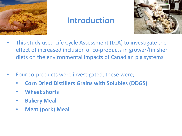

## **Introduction**



- This study used Life Cycle Assessment (LCA) to investigate the effect of increased inclusion of co-products in grower/finisher diets on the environmental impacts of Canadian pig systems
- Four co-products were investigated, these were;
	- **Corn Dried Distillers Grains with Solubles (DDGS)**
	- **Wheat shorts**
	- **Bakery Meal**
	- **Meat (pork) Meal**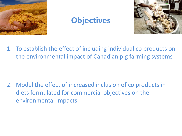

## **Objectives**



1. To establish the effect of including individual co products on the environmental impact of Canadian pig farming systems

2. Model the effect of increased inclusion of co products in diets formulated for commercial objectives on the environmental impacts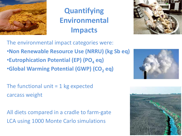

## **Quantifying Environmental Impacts**



The environmental impact categories were: •**Non Renewable Resource Use (NRRU) (kg Sb eq)** •**Eutrophication Potential (EP) (PO<sub>4</sub> eq)** •**Global Warming Potential (GWP) (CO<sup>2</sup> eq)**

The functional unit  $= 1$  kg expected carcass weight

All diets compared in a cradle to farm-gate LCA using 1000 Monte Carlo simulations



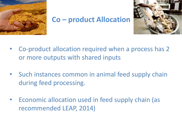

#### **Co – product Allocation**



- Co-product allocation required when a process has 2 or more outputs with shared inputs
- Such instances common in animal feed supply chain during feed processing.
- Economic allocation used in feed supply chain (as recommended LEAP, 2014)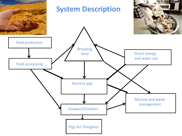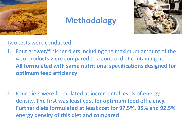

# **Methodology**



Two tests were conducted:

1. Four grower/finisher diets including the maximum amount of the 4 co products were compared to a control diet containing none. **All formulated with same nutritional specifications designed for optimum feed efficiency**

2. Four diets were formulated at incremental levels of energy density. **The first was least cost for optimum feed efficiency. Further diets formulated at least cost for 97.5%, 95% and 92.5% energy density of this diet and compared**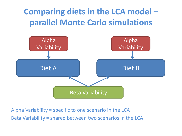# **Comparing diets in the LCA model – parallel Monte Carlo simulations**



Alpha Variability = specific to one scenario in the LCA Beta Variability = shared between two scenarios in the LCA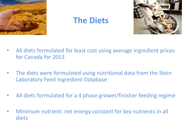

### **The Diets**



- All diets formulated for least cost using average ingredient prices for Canada for 2013
- The diets were formulated using nutritional data from the Stein Laboratory Feed Ingredient Database
- All diets formulated for a 4 phase grower/finisher feeding regime
- Minimum nutrient: net energy constant for key nutrients in all diets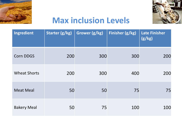



# **Max inclusion Levels**

| Ingredient          | Starter (g/kg) | Grower (g/kg) | Finisher (g/kg) | <b>Late Finisher</b><br>(g/kg) |
|---------------------|----------------|---------------|-----------------|--------------------------------|
| <b>Corn DDGS</b>    | 200            | 300           | 300             | 200                            |
| <b>Wheat Shorts</b> | 200            | 300           | 400             | 200                            |
| <b>Meat Meal</b>    | 50             | 50            | 75              | 75                             |
| <b>Bakery Meal</b>  | 50             | 75            | 100             | 100                            |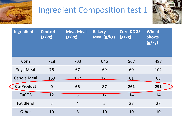

# Ingredient Composition test 1



| <b>Ingredient</b>  | <b>Control</b><br>(g/kg) | <b>Meat Meal</b><br>(g/kg) | <b>Bakery</b><br>Meal (g/kg) | <b>Corn DDGS</b><br>(g/kg) | <b>Wheat</b><br><b>Shorts</b><br>(g/kg) |
|--------------------|--------------------------|----------------------------|------------------------------|----------------------------|-----------------------------------------|
| Corn               | 728                      | 703                        | 646                          | 567                        | 487                                     |
| Soya Meal          | 76                       | 67                         | 69                           | 60                         | 102                                     |
| <b>Canola Meal</b> | 169                      | 152                        | 171                          | 61                         | 68                                      |
| <b>Co-Product</b>  | $\mathbf 0$              | 65                         | 87                           | 261                        | 291                                     |
| CaCO <sub>3</sub>  | 12                       | $\overline{3}$             | 12                           | 14                         | 14                                      |
| <b>Fat Blend</b>   | 5                        | $\overline{4}$             | 5                            | 27                         | 28                                      |
| Other              | 10                       | 6                          | 10                           | 10                         | 10                                      |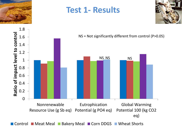

### **Test 1- Results**





■ Control ■ Meat Meal ■ Bakery Meal ■ Corn DDGS ■ Wheat Shorts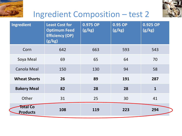



# Ingredient Composition – test 2

| Ingredient                  | <b>Least Cost for</b><br><b>Optimum Feed</b><br><b>Efficiency (OP)</b><br>(g/kg) | 0.975 OP<br>(g/kg) | 0.95 OP<br>(g/kg) | 0.925 OP<br>(g/kg) |
|-----------------------------|----------------------------------------------------------------------------------|--------------------|-------------------|--------------------|
| Corn                        | 642                                                                              | 663                | 593               | 543                |
| Soya Meal                   | 69                                                                               | 65                 | 64                | 70                 |
| <b>Canola Meal</b>          | 150                                                                              | 130                | 94                | 58                 |
| <b>Wheat Shorts</b>         | 26                                                                               | 89                 | 191               | 287                |
| <b>Bakery Meal</b>          | 82                                                                               | 28                 | 28                | $\mathbf{1}$       |
| Other                       | 31                                                                               | 25                 | 30                | 41                 |
| Total Co<br><b>Products</b> | 108                                                                              | 119                | 223               | 294                |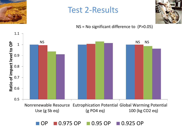

## Test 2-Results

NS = No significant difference to (P>0.05)



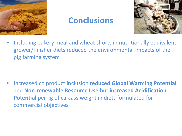

## **Conclusions**



• Including bakery meal and wheat shorts in nutritionally equivalent grower/finisher diets reduced the environmental impacts of the pig farming system

• Increased co product inclusion **reduced Global Warming Potential** and **Non-renewable Resource Use** but **increased Acidification Potential** per kg of carcass weight in diets formulated for commercial objectives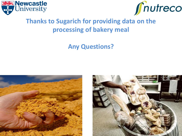



#### **Thanks to Sugarich for providing data on the processing of bakery meal**

#### **Any Questions?**